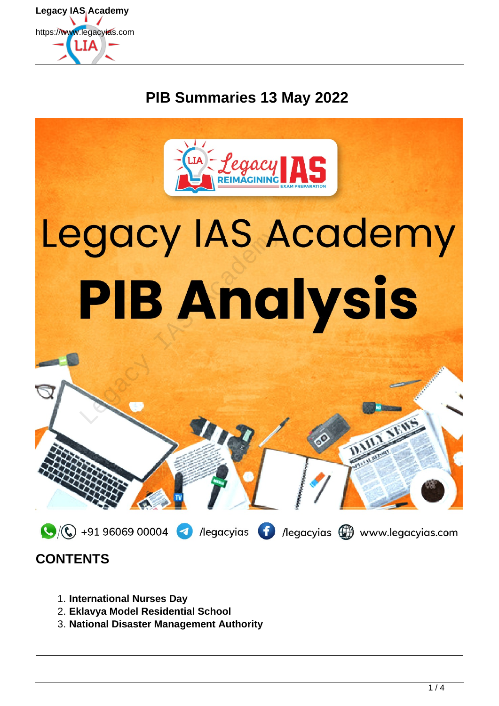

# **PIB Summaries 13 May 2022**



## **CONTENTS**

- 1. **International Nurses Day**
- 2. **Eklavya Model Residential School**
- 3. **National Disaster Management Authority**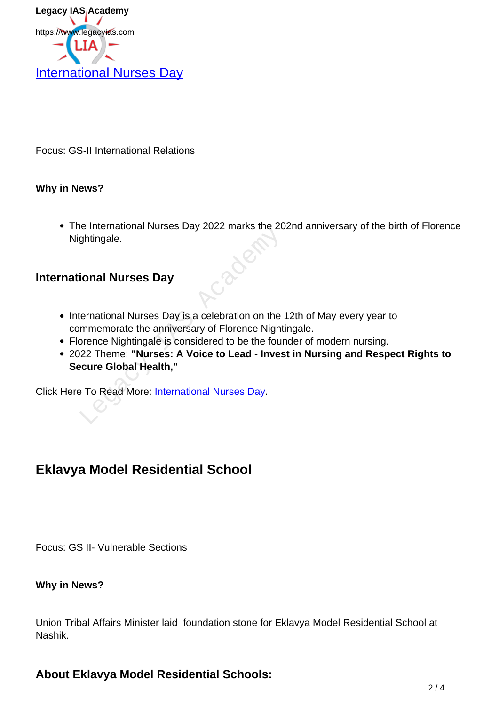

Focus: GS-II International Relations

#### **Why in News?**

The International Nurses Day 2022 marks the 202nd anniversary of the birth of Florence Nightingale.

#### **International Nurses Day**

- International Nurses Day is a celebration on the 12th of May every year to commemorate the anniversary of Florence Nightingale.
- Florence Nightingale is considered to be the founder of modern nursing.
- 2022 Theme: **"Nurses: A Voice to Lead Invest in Nursing and Respect Rights to Secure Global Health,"** Solid Murses Day 2022 manus and 20<br>
Subsiding the Murses Day<br>
Subsiding all and Murses Day is a celebration on the<br>
International Nurses Day is a celebration on the<br>
International of Florence Night<br>
Directional Health,"<br>
T

Click Here To Read More: International Nurses Day.

## **Eklavya Model Residential School**

Focus: GS II- Vulnerable Sections

#### **Why in News?**

Union Tribal Affairs Minister laid foundation stone for Eklavya Model Residential School at Nashik.

### **About Eklavya Model Residential Schools:**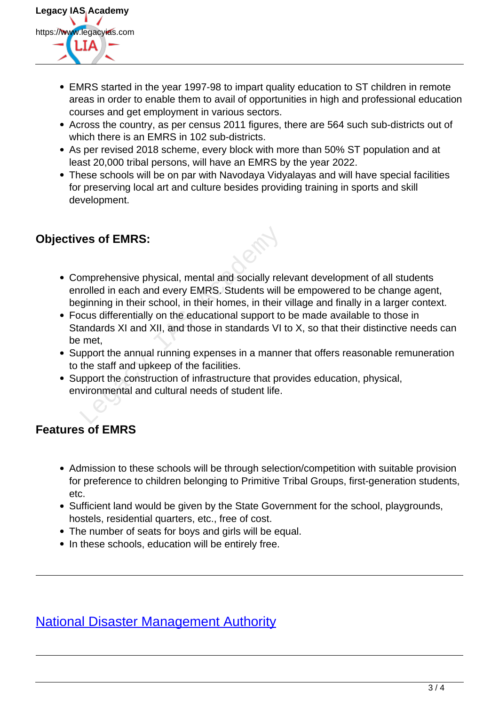

- EMRS started in the year 1997-98 to impart quality education to ST children in remote areas in order to enable them to avail of opportunities in high and professional education courses and get employment in various sectors.
- Across the country, as per census 2011 figures, there are 564 such sub-districts out of which there is an EMRS in 102 sub-districts.
- As per revised 2018 scheme, every block with more than 50% ST population and at least 20,000 tribal persons, will have an EMRS by the year 2022.
- These schools will be on par with Navodaya Vidyalayas and will have special facilities for preserving local art and culture besides providing training in sports and skill development.

### **Objectives of EMRS:**

- Comprehensive physical, mental and socially relevant development of all students enrolled in each and every EMRS. Students will be empowered to be change agent, beginning in their school, in their homes, in their village and finally in a larger context. res of EMRS:<br>
proprehensive physical, mental and socially relevented in each and every EMRS. Students will ginning in their school, in their homes, in their<br>
cus differentially on the educational support to<br>
andards XI and
- Focus differentially on the educational support to be made available to those in Standards XI and XII, and those in standards VI to X, so that their distinctive needs can be met,
- Support the annual running expenses in a manner that offers reasonable remuneration to the staff and upkeep of the facilities.
- Support the construction of infrastructure that provides education, physical, environmental and cultural needs of student life.

### **Features of EMRS**

- Admission to these schools will be through selection/competition with suitable provision for preference to children belonging to Primitive Tribal Groups, first-generation students, etc.
- Sufficient land would be given by the State Government for the school, playgrounds, hostels, residential quarters, etc., free of cost.
- The number of seats for boys and girls will be equal.
- In these schools, education will be entirely free.

## National Disaster Management Authority